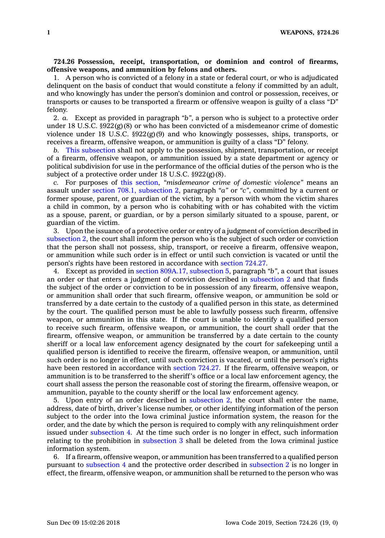## **724.26 Possession, receipt, transportation, or dominion and control of firearms, offensive weapons, and ammunition by felons and others.**

1. A person who is convicted of <sup>a</sup> felony in <sup>a</sup> state or federal court, or who is adjudicated delinquent on the basis of conduct that would constitute <sup>a</sup> felony if committed by an adult, and who knowingly has under the person's dominion and control or possession, receives, or transports or causes to be transported <sup>a</sup> firearm or offensive weapon is guilty of <sup>a</sup> class "D" felony.

2. *a.* Except as provided in paragraph *"b"*, <sup>a</sup> person who is subject to <sup>a</sup> protective order under 18 U.S.C. §922(g)(8) or who has been convicted of <sup>a</sup> misdemeanor crime of domestic violence under 18 U.S.C.  $\S 922(g)(9)$  and who knowingly possesses, ships, transports, or receives <sup>a</sup> firearm, offensive weapon, or ammunition is guilty of <sup>a</sup> class "D" felony.

*b.* This [subsection](https://www.legis.iowa.gov/docs/code/724.26.pdf) shall not apply to the possession, shipment, transportation, or receipt of <sup>a</sup> firearm, offensive weapon, or ammunition issued by <sup>a</sup> state department or agency or political subdivision for use in the performance of the official duties of the person who is the subject of <sup>a</sup> protective order under 18 U.S.C. §922(g)(8).

*c.* For purposes of this [section](https://www.legis.iowa.gov/docs/code/724.26.pdf), *"misdemeanor crime of domestic violence"* means an assault under section 708.1, [subsection](https://www.legis.iowa.gov/docs/code/708.1.pdf) 2, paragraph *"a"* or *"c"*, committed by <sup>a</sup> current or former spouse, parent, or guardian of the victim, by <sup>a</sup> person with whom the victim shares <sup>a</sup> child in common, by <sup>a</sup> person who is cohabiting with or has cohabited with the victim as <sup>a</sup> spouse, parent, or guardian, or by <sup>a</sup> person similarly situated to <sup>a</sup> spouse, parent, or guardian of the victim.

3. Upon the issuance of <sup>a</sup> protective order or entry of <sup>a</sup> judgment of conviction described in [subsection](https://www.legis.iowa.gov/docs/code/724.26.pdf) 2, the court shall inform the person who is the subject of such order or conviction that the person shall not possess, ship, transport, or receive <sup>a</sup> firearm, offensive weapon, or ammunition while such order is in effect or until such conviction is vacated or until the person's rights have been restored in accordance with [section](https://www.legis.iowa.gov/docs/code/724.27.pdf) 724.27.

4. Except as provided in section 809A.17, [subsection](https://www.legis.iowa.gov/docs/code/809A.17.pdf) 5, paragraph *"b"*, <sup>a</sup> court that issues an order or that enters <sup>a</sup> judgment of conviction described in [subsection](https://www.legis.iowa.gov/docs/code/724.26.pdf) 2 and that finds the subject of the order or conviction to be in possession of any firearm, offensive weapon, or ammunition shall order that such firearm, offensive weapon, or ammunition be sold or transferred by <sup>a</sup> date certain to the custody of <sup>a</sup> qualified person in this state, as determined by the court. The qualified person must be able to lawfully possess such firearm, offensive weapon, or ammunition in this state. If the court is unable to identify <sup>a</sup> qualified person to receive such firearm, offensive weapon, or ammunition, the court shall order that the firearm, offensive weapon, or ammunition be transferred by <sup>a</sup> date certain to the county sheriff or <sup>a</sup> local law enforcement agency designated by the court for safekeeping until <sup>a</sup> qualified person is identified to receive the firearm, offensive weapon, or ammunition, until such order is no longer in effect, until such conviction is vacated, or until the person's rights have been restored in accordance with [section](https://www.legis.iowa.gov/docs/code/724.27.pdf) 724.27. If the firearm, offensive weapon, or ammunition is to be transferred to the sheriff's office or <sup>a</sup> local law enforcement agency, the court shall assess the person the reasonable cost of storing the firearm, offensive weapon, or ammunition, payable to the county sheriff or the local law enforcement agency.

5. Upon entry of an order described in [subsection](https://www.legis.iowa.gov/docs/code/724.26.pdf) 2, the court shall enter the name, address, date of birth, driver's license number, or other identifying information of the person subject to the order into the Iowa criminal justice information system, the reason for the order, and the date by which the person is required to comply with any relinquishment order issued under [subsection](https://www.legis.iowa.gov/docs/code/724.26.pdf) 4. At the time such order is no longer in effect, such information relating to the prohibition in [subsection](https://www.legis.iowa.gov/docs/code/724.26.pdf) 3 shall be deleted from the Iowa criminal justice information system.

6. If <sup>a</sup> firearm, offensive weapon, or ammunition has been transferred to <sup>a</sup> qualified person pursuant to [subsection](https://www.legis.iowa.gov/docs/code/724.26.pdf) 4 and the protective order described in [subsection](https://www.legis.iowa.gov/docs/code/724.26.pdf) 2 is no longer in effect, the firearm, offensive weapon, or ammunition shall be returned to the person who was